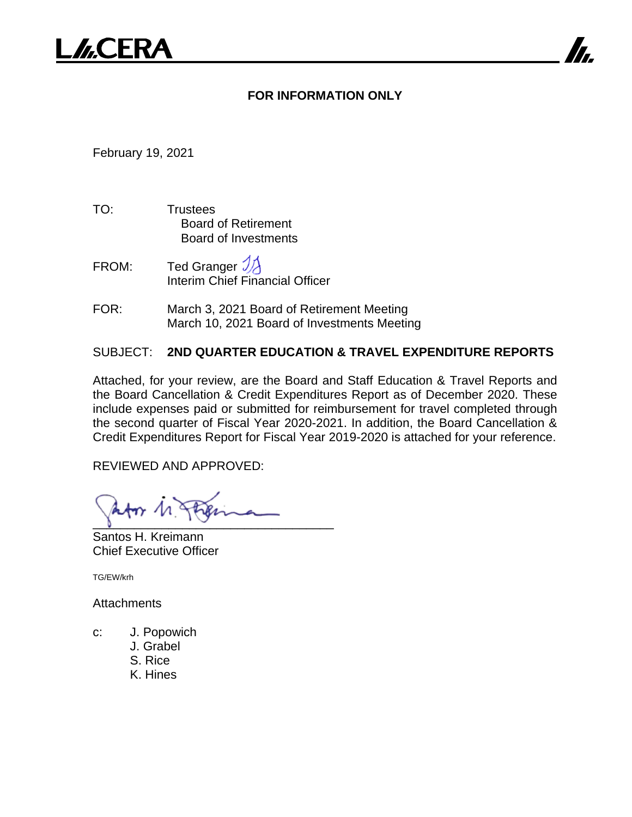# **FOR INFORMATION ONLY**

February 19, 2021

- TO: Trustees Board of Retirement Board of Investments
- FROM: Ted Granger  $\mathcal{Y}$ Interim Chief Financial Officer
- FOR: March 3, 2021 Board of Retirement Meeting March 10, 2021 Board of Investments Meeting

# SUBJECT: **2ND QUARTER EDUCATION & TRAVEL EXPENDITURE REPORTS**

Attached, for your review, are the Board and Staff Education & Travel Reports and the Board Cancellation & Credit Expenditures Report as of December 2020. These include expenses paid or submitted for reimbursement for travel completed through the second quarter of Fiscal Year 2020-2021. In addition, the Board Cancellation & Credit Expenditures Report for Fiscal Year 2019-2020 is attached for your reference.

REVIEWED AND APPROVED:

 $\sqrt{2}$ 

Santos H. Kreimann Chief Executive Officer

TG/EW/krh

**Attachments** 

- c: J. Popowich
	- J. Grabel
	- S. Rice
	- K. Hines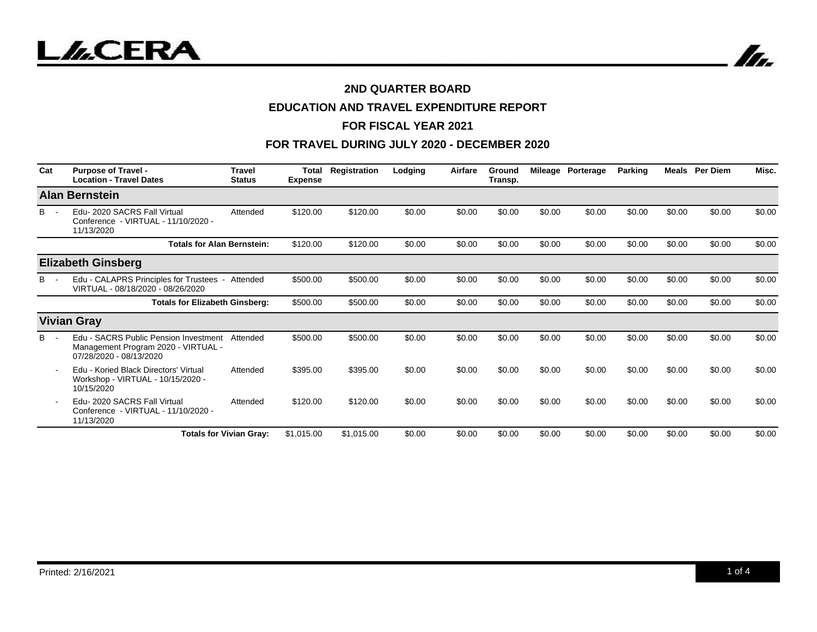



# **EDUCATION AND TRAVEL EXPENDITURE REPORT**

### **FOR FISCAL YEAR 2021**

| Cat   | <b>Purpose of Travel -</b><br><b>Location - Travel Dates</b>                                            | <b>Travel</b><br><b>Status</b> | <b>Total</b><br><b>Expense</b> | Registration | Lodging | Airfare | Ground<br>Transp. |        | Mileage Porterage | Parking | Meals  | <b>Per Diem</b> | Misc.  |
|-------|---------------------------------------------------------------------------------------------------------|--------------------------------|--------------------------------|--------------|---------|---------|-------------------|--------|-------------------|---------|--------|-----------------|--------|
|       | <b>Alan Bernstein</b>                                                                                   |                                |                                |              |         |         |                   |        |                   |         |        |                 |        |
| B     | Edu-2020 SACRS Fall Virtual<br>Conference - VIRTUAL - 11/10/2020 -<br>11/13/2020                        | Attended                       | \$120.00                       | \$120.00     | \$0.00  | \$0.00  | \$0.00            | \$0.00 | \$0.00            | \$0.00  | \$0.00 | \$0.00          | \$0.00 |
|       | <b>Totals for Alan Bernstein:</b>                                                                       |                                | \$120.00                       | \$120.00     | \$0.00  | \$0.00  | \$0.00            | \$0.00 | \$0.00            | \$0.00  | \$0.00 | \$0.00          | \$0.00 |
|       | <b>Elizabeth Ginsberg</b>                                                                               |                                |                                |              |         |         |                   |        |                   |         |        |                 |        |
| В     | Edu - CALAPRS Principles for Trustees -<br>VIRTUAL - 08/18/2020 - 08/26/2020                            | Attended                       | \$500.00                       | \$500.00     | \$0.00  | \$0.00  | \$0.00            | \$0.00 | \$0.00            | \$0.00  | \$0.00 | \$0.00          | \$0.00 |
|       | <b>Totals for Elizabeth Ginsberg:</b>                                                                   |                                | \$500.00                       | \$500.00     | \$0.00  | \$0.00  | \$0.00            | \$0.00 | \$0.00            | \$0.00  | \$0.00 | \$0.00          | \$0.00 |
|       | <b>Vivian Gray</b>                                                                                      |                                |                                |              |         |         |                   |        |                   |         |        |                 |        |
| $B -$ | Edu - SACRS Public Pension Investment<br>Management Program 2020 - VIRTUAL -<br>07/28/2020 - 08/13/2020 | Attended                       | \$500.00                       | \$500.00     | \$0.00  | \$0.00  | \$0.00            | \$0.00 | \$0.00            | \$0.00  | \$0.00 | \$0.00          | \$0.00 |
|       | Edu - Koried Black Directors' Virtual<br>Workshop - VIRTUAL - 10/15/2020 -<br>10/15/2020                | Attended                       | \$395.00                       | \$395.00     | \$0.00  | \$0.00  | \$0.00            | \$0.00 | \$0.00            | \$0.00  | \$0.00 | \$0.00          | \$0.00 |
|       | Edu-2020 SACRS Fall Virtual<br>Conference - VIRTUAL - 11/10/2020 -<br>11/13/2020                        | Attended                       | \$120.00                       | \$120.00     | \$0.00  | \$0.00  | \$0.00            | \$0.00 | \$0.00            | \$0.00  | \$0.00 | \$0.00          | \$0.00 |
|       |                                                                                                         | <b>Totals for Vivian Gray:</b> | \$1,015.00                     | \$1,015.00   | \$0.00  | \$0.00  | \$0.00            | \$0.00 | \$0.00            | \$0.00  | \$0.00 | \$0.00          | \$0.00 |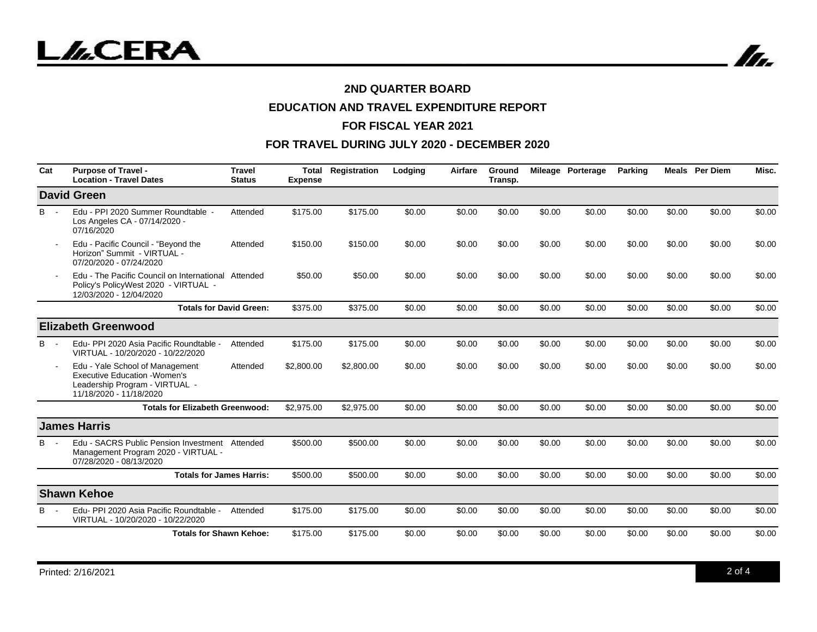

# **EDUCATION AND TRAVEL EXPENDITURE REPORT**

## **FOR FISCAL YEAR 2021**

| Cat             | <b>Purpose of Travel -</b><br><b>Location - Travel Dates</b>                                                                         | <b>Travel</b><br><b>Status</b> | Total<br><b>Expense</b> | Registration | Lodging | Airfare | Ground<br>Transp. |        | Mileage Porterage | <b>Parking</b> |        | <b>Meals</b> Per Diem | Misc.  |
|-----------------|--------------------------------------------------------------------------------------------------------------------------------------|--------------------------------|-------------------------|--------------|---------|---------|-------------------|--------|-------------------|----------------|--------|-----------------------|--------|
|                 | <b>David Green</b>                                                                                                                   |                                |                         |              |         |         |                   |        |                   |                |        |                       |        |
| $B -$           | Edu - PPI 2020 Summer Roundtable -<br>Los Angeles CA - 07/14/2020 -<br>07/16/2020                                                    | Attended                       | \$175.00                | \$175.00     | \$0.00  | \$0.00  | \$0.00            | \$0.00 | \$0.00            | \$0.00         | \$0.00 | \$0.00                | \$0.00 |
|                 | Edu - Pacific Council - "Beyond the<br>Horizon" Summit - VIRTUAL -<br>07/20/2020 - 07/24/2020                                        | Attended                       | \$150.00                | \$150.00     | \$0.00  | \$0.00  | \$0.00            | \$0.00 | \$0.00            | \$0.00         | \$0.00 | \$0.00                | \$0.00 |
|                 | Edu - The Pacific Council on International Attended<br>Policy's PolicyWest 2020 - VIRTUAL -<br>12/03/2020 - 12/04/2020               |                                | \$50.00                 | \$50.00      | \$0.00  | \$0.00  | \$0.00            | \$0.00 | \$0.00            | \$0.00         | \$0.00 | \$0.00                | \$0.00 |
|                 | <b>Totals for David Green:</b>                                                                                                       |                                | \$375.00                | \$375.00     | \$0.00  | \$0.00  | \$0.00            | \$0.00 | \$0.00            | \$0.00         | \$0.00 | \$0.00                | \$0.00 |
|                 | <b>Elizabeth Greenwood</b>                                                                                                           |                                |                         |              |         |         |                   |        |                   |                |        |                       |        |
| B<br>$\sim$ $-$ | Edu- PPI 2020 Asia Pacific Roundtable -<br>VIRTUAL - 10/20/2020 - 10/22/2020                                                         | Attended                       | \$175.00                | \$175.00     | \$0.00  | \$0.00  | \$0.00            | \$0.00 | \$0.00            | \$0.00         | \$0.00 | \$0.00                | \$0.00 |
|                 | Edu - Yale School of Management<br><b>Executive Education - Women's</b><br>Leadership Program - VIRTUAL -<br>11/18/2020 - 11/18/2020 | Attended                       | \$2,800.00              | \$2,800.00   | \$0.00  | \$0.00  | \$0.00            | \$0.00 | \$0.00            | \$0.00         | \$0.00 | \$0.00                | \$0.00 |
|                 | <b>Totals for Elizabeth Greenwood:</b>                                                                                               |                                | \$2,975.00              | \$2,975.00   | \$0.00  | \$0.00  | \$0.00            | \$0.00 | \$0.00            | \$0.00         | \$0.00 | \$0.00                | \$0.00 |
|                 | <b>James Harris</b>                                                                                                                  |                                |                         |              |         |         |                   |        |                   |                |        |                       |        |
| B               | Edu - SACRS Public Pension Investment<br>Management Program 2020 - VIRTUAL -<br>07/28/2020 - 08/13/2020                              | Attended                       | \$500.00                | \$500.00     | \$0.00  | \$0.00  | \$0.00            | \$0.00 | \$0.00            | \$0.00         | \$0.00 | \$0.00                | \$0.00 |
|                 | <b>Totals for James Harris:</b>                                                                                                      |                                | \$500.00                | \$500.00     | \$0.00  | \$0.00  | \$0.00            | \$0.00 | \$0.00            | \$0.00         | \$0.00 | \$0.00                | \$0.00 |
|                 | <b>Shawn Kehoe</b>                                                                                                                   |                                |                         |              |         |         |                   |        |                   |                |        |                       |        |
| В               | Edu- PPI 2020 Asia Pacific Roundtable -<br>VIRTUAL - 10/20/2020 - 10/22/2020                                                         | Attended                       | \$175.00                | \$175.00     | \$0.00  | \$0.00  | \$0.00            | \$0.00 | \$0.00            | \$0.00         | \$0.00 | \$0.00                | \$0.00 |
|                 | <b>Totals for Shawn Kehoe:</b>                                                                                                       |                                | \$175.00                | \$175.00     | \$0.00  | \$0.00  | \$0.00            | \$0.00 | \$0.00            | \$0.00         | \$0.00 | \$0.00                | \$0.00 |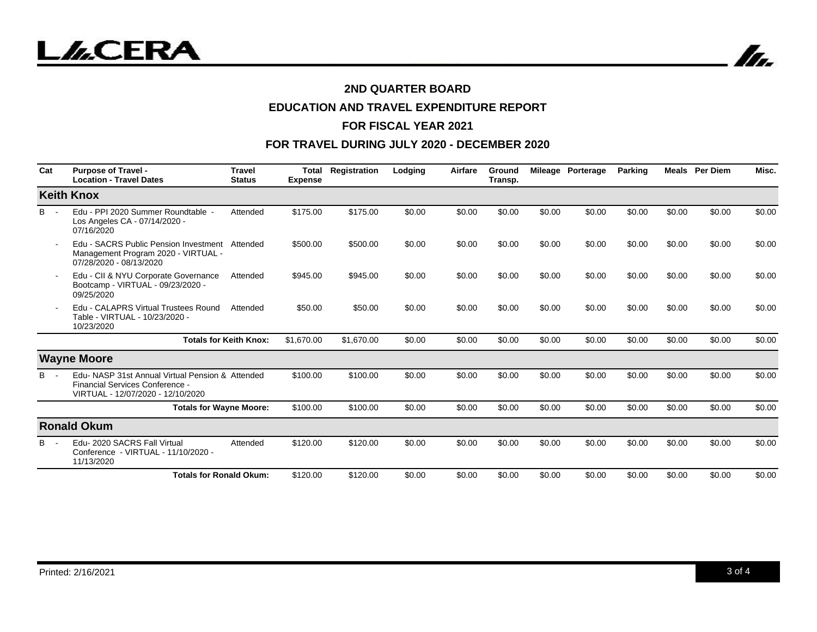



# **EDUCATION AND TRAVEL EXPENDITURE REPORT**

## **FOR FISCAL YEAR 2021**

| Cat   | <b>Purpose of Travel -</b><br><b>Location - Travel Dates</b>                                                             | <b>Travel</b><br><b>Status</b> | Total<br><b>Expense</b> | Registration | Lodging | Airfare | Ground<br>Transp. |        | Mileage Porterage | <b>Parking</b> |        | <b>Meals</b> Per Diem | Misc.  |
|-------|--------------------------------------------------------------------------------------------------------------------------|--------------------------------|-------------------------|--------------|---------|---------|-------------------|--------|-------------------|----------------|--------|-----------------------|--------|
|       | <b>Keith Knox</b>                                                                                                        |                                |                         |              |         |         |                   |        |                   |                |        |                       |        |
| $B -$ | Edu - PPI 2020 Summer Roundtable -<br>Los Angeles CA - 07/14/2020 -<br>07/16/2020                                        | Attended                       | \$175.00                | \$175.00     | \$0.00  | \$0.00  | \$0.00            | \$0.00 | \$0.00            | \$0.00         | \$0.00 | \$0.00                | \$0.00 |
|       | Edu - SACRS Public Pension Investment<br>Management Program 2020 - VIRTUAL -<br>07/28/2020 - 08/13/2020                  | Attended                       | \$500.00                | \$500.00     | \$0.00  | \$0.00  | \$0.00            | \$0.00 | \$0.00            | \$0.00         | \$0.00 | \$0.00                | \$0.00 |
|       | Edu - CII & NYU Corporate Governance<br>Bootcamp - VIRTUAL - 09/23/2020 -<br>09/25/2020                                  | Attended                       | \$945.00                | \$945.00     | \$0.00  | \$0.00  | \$0.00            | \$0.00 | \$0.00            | \$0.00         | \$0.00 | \$0.00                | \$0.00 |
|       | Edu - CALAPRS Virtual Trustees Round<br>Table - VIRTUAL - 10/23/2020 -<br>10/23/2020                                     | Attended                       | \$50.00                 | \$50.00      | \$0.00  | \$0.00  | \$0.00            | \$0.00 | \$0.00            | \$0.00         | \$0.00 | \$0.00                | \$0.00 |
|       |                                                                                                                          | <b>Totals for Keith Knox:</b>  | \$1,670.00              | \$1,670.00   | \$0.00  | \$0.00  | \$0.00            | \$0.00 | \$0.00            | \$0.00         | \$0.00 | \$0.00                | \$0.00 |
|       | <b>Wayne Moore</b>                                                                                                       |                                |                         |              |         |         |                   |        |                   |                |        |                       |        |
| $B -$ | Edu- NASP 31st Annual Virtual Pension & Attended<br>Financial Services Conference -<br>VIRTUAL - 12/07/2020 - 12/10/2020 |                                | \$100.00                | \$100.00     | \$0.00  | \$0.00  | \$0.00            | \$0.00 | \$0.00            | \$0.00         | \$0.00 | \$0.00                | \$0.00 |
|       | <b>Totals for Wayne Moore:</b>                                                                                           |                                | \$100.00                | \$100.00     | \$0.00  | \$0.00  | \$0.00            | \$0.00 | \$0.00            | \$0.00         | \$0.00 | \$0.00                | \$0.00 |
|       | <b>Ronald Okum</b>                                                                                                       |                                |                         |              |         |         |                   |        |                   |                |        |                       |        |
| B -   | Edu-2020 SACRS Fall Virtual<br>Conference - VIRTUAL - 11/10/2020 -<br>11/13/2020                                         | Attended                       | \$120.00                | \$120.00     | \$0.00  | \$0.00  | \$0.00            | \$0.00 | \$0.00            | \$0.00         | \$0.00 | \$0.00                | \$0.00 |
|       | <b>Totals for Ronald Okum:</b>                                                                                           |                                | \$120.00                | \$120.00     | \$0.00  | \$0.00  | \$0.00            | \$0.00 | \$0.00            | \$0.00         | \$0.00 | \$0.00                | \$0.00 |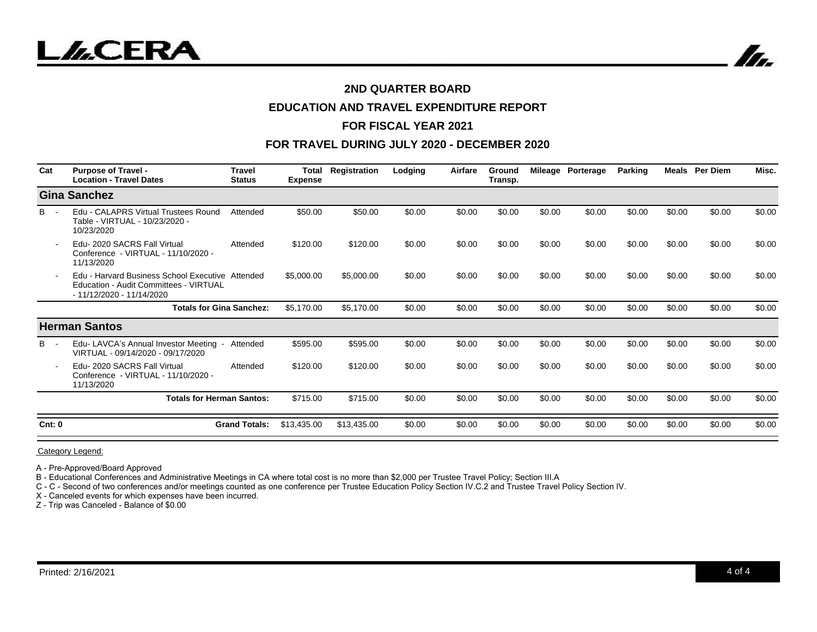

## **EDUCATION AND TRAVEL EXPENDITURE REPORT**

## **FOR FISCAL YEAR 2021**

## **FOR TRAVEL DURING JULY 2020 - DECEMBER 2020**

| Cat    | <b>Purpose of Travel -</b><br><b>Location - Travel Dates</b>                                                            | <b>Travel</b><br><b>Status</b> | <b>Total</b><br><b>Expense</b> | Registration | Lodging | Airfare | Ground<br>Transp. |        | Mileage Porterage | Parking | Meals  | <b>Per Diem</b> | Misc.  |
|--------|-------------------------------------------------------------------------------------------------------------------------|--------------------------------|--------------------------------|--------------|---------|---------|-------------------|--------|-------------------|---------|--------|-----------------|--------|
|        | Gina Sanchez                                                                                                            |                                |                                |              |         |         |                   |        |                   |         |        |                 |        |
| B      | Edu - CALAPRS Virtual Trustees Round<br>Table - VIRTUAL - 10/23/2020 -<br>10/23/2020                                    | Attended                       | \$50.00                        | \$50.00      | \$0.00  | \$0.00  | \$0.00            | \$0.00 | \$0.00            | \$0.00  | \$0.00 | \$0.00          | \$0.00 |
|        | Edu-2020 SACRS Fall Virtual<br>Conference - VIRTUAL - 11/10/2020 -<br>11/13/2020                                        | Attended                       | \$120.00                       | \$120.00     | \$0.00  | \$0.00  | \$0.00            | \$0.00 | \$0.00            | \$0.00  | \$0.00 | \$0.00          | \$0.00 |
|        | Edu - Harvard Business School Executive Attended<br>Education - Audit Committees - VIRTUAL<br>- 11/12/2020 - 11/14/2020 |                                | \$5,000.00                     | \$5,000.00   | \$0.00  | \$0.00  | \$0.00            | \$0.00 | \$0.00            | \$0.00  | \$0.00 | \$0.00          | \$0.00 |
|        | <b>Totals for Gina Sanchez:</b>                                                                                         |                                | \$5,170.00                     | \$5,170.00   | \$0.00  | \$0.00  | \$0.00            | \$0.00 | \$0.00            | \$0.00  | \$0.00 | \$0.00          | \$0.00 |
|        | <b>Herman Santos</b>                                                                                                    |                                |                                |              |         |         |                   |        |                   |         |        |                 |        |
| $B -$  | Edu-LAVCA's Annual Investor Meeting<br>VIRTUAL - 09/14/2020 - 09/17/2020                                                | Attended                       | \$595.00                       | \$595.00     | \$0.00  | \$0.00  | \$0.00            | \$0.00 | \$0.00            | \$0.00  | \$0.00 | \$0.00          | \$0.00 |
|        | Edu-2020 SACRS Fall Virtual<br>Conference - VIRTUAL - 11/10/2020 -<br>11/13/2020                                        | Attended                       | \$120.00                       | \$120.00     | \$0.00  | \$0.00  | \$0.00            | \$0.00 | \$0.00            | \$0.00  | \$0.00 | \$0.00          | \$0.00 |
|        | <b>Totals for Herman Santos:</b>                                                                                        |                                | \$715.00                       | \$715.00     | \$0.00  | \$0.00  | \$0.00            | \$0.00 | \$0.00            | \$0.00  | \$0.00 | \$0.00          | \$0.00 |
| Cnt: 0 |                                                                                                                         | <b>Grand Totals:</b>           | \$13.435.00                    | \$13,435.00  | \$0.00  | \$0.00  | \$0.00            | \$0.00 | \$0.00            | \$0.00  | \$0.00 | \$0.00          | \$0.00 |

Category Legend:

A - Pre-Approved/Board Approved

B - Educational Conferences and Administrative Meetings in CA where total cost is no more than \$2,000 per Trustee Travel Policy; Section III.A

C - C - Second of two conferences and/or meetings counted as one conference per Trustee Education Policy Section IV.C.2 and Trustee Travel Policy Section IV.

X - Canceled events for which expenses have been incurred.

Z - Trip was Canceled - Balance of \$0.00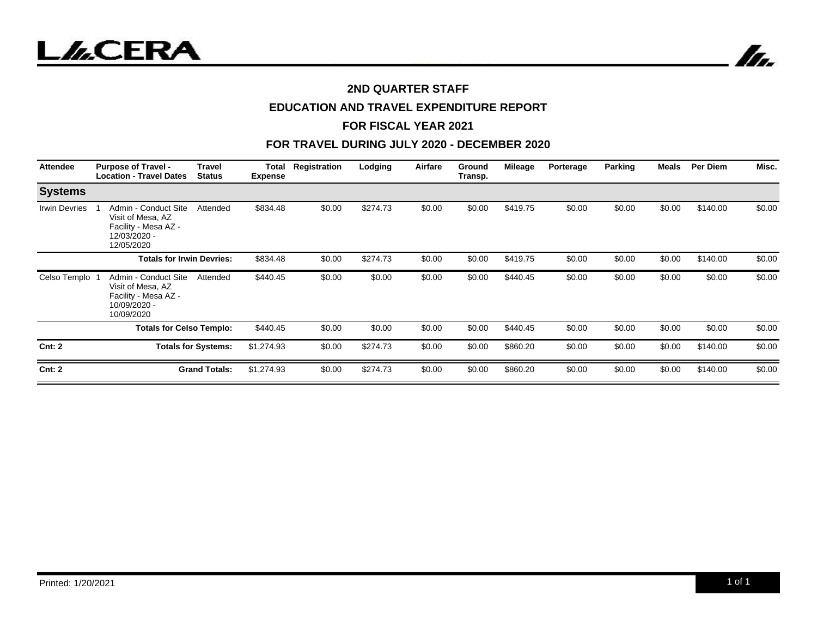



# **2ND QUARTER STAFF**

# **EDUCATION AND TRAVEL EXPENDITURE REPORT**

#### **FOR FISCAL YEAR 2021**

| <b>Attendee</b>      | <b>Purpose of Travel -</b><br><b>Location - Travel Dates</b>                                    | <b>Travel</b><br><b>Status</b> | Total<br><b>Expense</b> | Registration | Lodging  | Airfare | Ground<br>Transp. | <b>Mileage</b> | Porterage | Parking | Meals  | Per Diem | Misc.  |
|----------------------|-------------------------------------------------------------------------------------------------|--------------------------------|-------------------------|--------------|----------|---------|-------------------|----------------|-----------|---------|--------|----------|--------|
| <b>Systems</b>       |                                                                                                 |                                |                         |              |          |         |                   |                |           |         |        |          |        |
| <b>Irwin Devries</b> | Admin - Conduct Site<br>Visit of Mesa, AZ<br>Facility - Mesa AZ -<br>12/03/2020 -<br>12/05/2020 | Attended                       | \$834.48                | \$0.00       | \$274.73 | \$0.00  | \$0.00            | \$419.75       | \$0.00    | \$0.00  | \$0.00 | \$140.00 | \$0.00 |
|                      | <b>Totals for Irwin Devries:</b>                                                                |                                | \$834.48                | \$0.00       | \$274.73 | \$0.00  | \$0.00            | \$419.75       | \$0.00    | \$0.00  | \$0.00 | \$140.00 | \$0.00 |
| Celso Templo         | Admin - Conduct Site<br>Visit of Mesa, AZ<br>Facility - Mesa AZ -<br>10/09/2020 -<br>10/09/2020 | Attended                       | \$440.45                | \$0.00       | \$0.00   | \$0.00  | \$0.00            | \$440.45       | \$0.00    | \$0.00  | \$0.00 | \$0.00   | \$0.00 |
|                      | <b>Totals for Celso Templo:</b>                                                                 |                                | \$440.45                | \$0.00       | \$0.00   | \$0.00  | \$0.00            | \$440.45       | \$0.00    | \$0.00  | \$0.00 | \$0.00   | \$0.00 |
| Cnt: 2               | <b>Totals for Systems:</b>                                                                      |                                | \$1,274.93              | \$0.00       | \$274.73 | \$0.00  | \$0.00            | \$860.20       | \$0.00    | \$0.00  | \$0.00 | \$140.00 | \$0.00 |
| Cnt: 2               |                                                                                                 | <b>Grand Totals:</b>           | \$1,274.93              | \$0.00       | \$274.73 | \$0.00  | \$0.00            | \$860.20       | \$0.00    | \$0.00  | \$0.00 | \$140.00 | \$0.00 |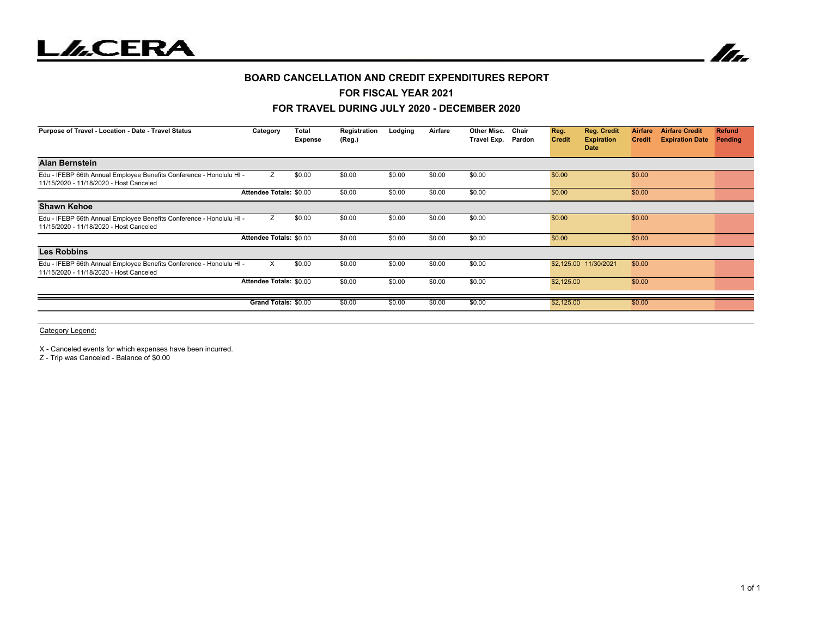



#### **BOARD CANCELLATION AND CREDIT EXPENDITURES REPORT**

#### **FOR FISCAL YEAR 2021**

#### **FOR TRAVEL DURING JULY 2020 - DECEMBER 2020**

| Purpose of Travel - Location - Date - Travel Status                                                             | Category                | Total<br>Expense | Registration<br>(Reg.) | Lodging | Airfare | Other Misc.<br>Travel Exp. Pardon | Chair | Reg.<br><b>Credit</b><br>Date | <b>Reg. Credit</b><br>Airfare<br><b>Expiration</b><br><b>Credit</b> | <b>Airfare Credit</b><br><b>Expiration Date</b> | <b>Refund</b><br>Pending |
|-----------------------------------------------------------------------------------------------------------------|-------------------------|------------------|------------------------|---------|---------|-----------------------------------|-------|-------------------------------|---------------------------------------------------------------------|-------------------------------------------------|--------------------------|
| <b>Alan Bernstein</b>                                                                                           |                         |                  |                        |         |         |                                   |       |                               |                                                                     |                                                 |                          |
| Edu - IFEBP 66th Annual Employee Benefits Conference - Honolulu HI -<br>11/15/2020 - 11/18/2020 - Host Canceled | Z                       | \$0.00           | \$0.00                 | \$0.00  | \$0.00  | \$0.00                            |       | \$0.00                        | \$0.00                                                              |                                                 |                          |
|                                                                                                                 | Attendee Totals: \$0.00 |                  | \$0.00                 | \$0.00  | \$0.00  | \$0.00                            |       | \$0.00                        | \$0.00                                                              |                                                 |                          |
| <b>Shawn Kehoe</b>                                                                                              |                         |                  |                        |         |         |                                   |       |                               |                                                                     |                                                 |                          |
| Edu - IFEBP 66th Annual Employee Benefits Conference - Honolulu HI -<br>11/15/2020 - 11/18/2020 - Host Canceled | Z                       | \$0.00           | \$0.00                 | \$0.00  | \$0.00  | \$0.00                            |       | \$0.00                        | \$0.00                                                              |                                                 |                          |
|                                                                                                                 | Attendee Totals: \$0.00 |                  | \$0.00                 | \$0.00  | \$0.00  | \$0.00                            |       | \$0.00                        | \$0.00                                                              |                                                 |                          |
| <b>Les Robbins</b>                                                                                              |                         |                  |                        |         |         |                                   |       |                               |                                                                     |                                                 |                          |
| Edu - IFEBP 66th Annual Employee Benefits Conference - Honolulu HI -<br>11/15/2020 - 11/18/2020 - Host Canceled | $\times$                | \$0.00           | \$0.00                 | \$0.00  | \$0.00  | \$0.00                            |       | \$2,125.00 11/30/2021         | \$0.00                                                              |                                                 |                          |
|                                                                                                                 | Attendee Totals: \$0.00 |                  | \$0.00                 | \$0.00  | \$0.00  | \$0.00                            |       | \$2,125.00                    | \$0.00                                                              |                                                 |                          |
|                                                                                                                 | Grand Totals: \$0.00    |                  | \$0.00                 | \$0.00  | \$0.00  | \$0.00                            |       | \$2,125.00                    | \$0.00                                                              |                                                 |                          |

Category Legend:

X - Canceled events for which expenses have been incurred.

Z - Trip was Canceled - Balance of \$0.00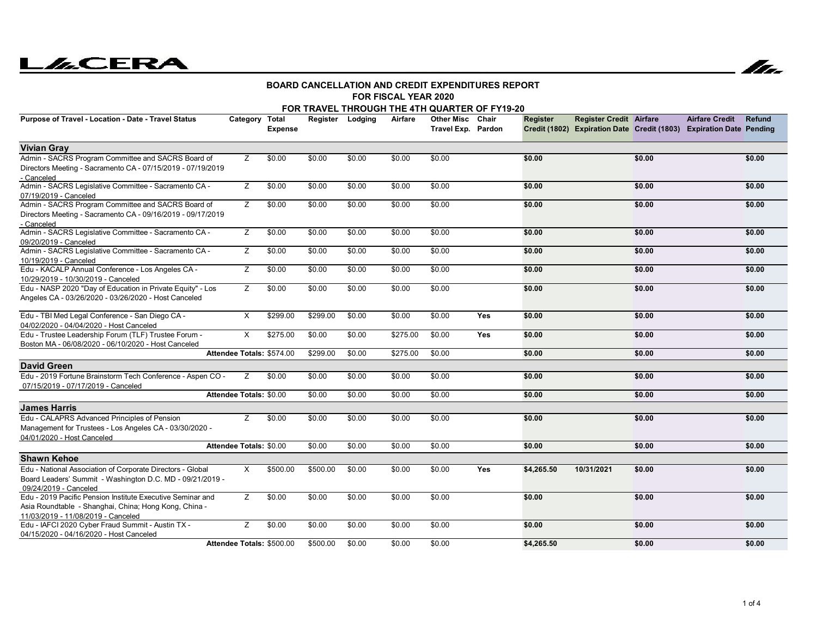



#### **FOR FISCAL YEAR 2020BOARD CANCELLATION AND CREDIT EXPENDITURES REPORT**

|  |  |  | FOR TRAVEL THROUGH THE 4TH QUARTER OF FY19-20 |  |  |  |
|--|--|--|-----------------------------------------------|--|--|--|
|  |  |  |                                               |  |  |  |

| Purpose of Travel - Location - Date - Travel Status                                                                                                       | Category Total                 | <b>Expense</b> | Register Lodging |        | Airfare  | Other Misc Chair<br>Travel Exp. Pardon |            | Register   | <b>Register Credit Airfare</b> |        | <b>Airfare Credit</b><br>Credit (1802) Expiration Date Credit (1803) Expiration Date Pending | <b>Refund</b> |
|-----------------------------------------------------------------------------------------------------------------------------------------------------------|--------------------------------|----------------|------------------|--------|----------|----------------------------------------|------------|------------|--------------------------------|--------|----------------------------------------------------------------------------------------------|---------------|
| <b>Vivian Gray</b>                                                                                                                                        |                                |                |                  |        |          |                                        |            |            |                                |        |                                                                                              |               |
| Admin - SACRS Program Committee and SACRS Board of<br>Directors Meeting - Sacramento CA - 07/15/2019 - 07/19/2019<br>- Canceled                           | Z                              | \$0.00         | \$0.00           | \$0.00 | \$0.00   | \$0.00                                 |            | \$0.00     |                                | \$0.00 |                                                                                              | \$0.00        |
| Admin - SACRS Legislative Committee - Sacramento CA -<br>07/19/2019 - Canceled                                                                            | Z                              | \$0.00         | \$0.00           | \$0.00 | \$0.00   | \$0.00                                 |            | \$0.00     |                                | \$0.00 |                                                                                              | \$0.00        |
| Admin - SACRS Program Committee and SACRS Board of<br>Directors Meeting - Sacramento CA - 09/16/2019 - 09/17/2019<br>- Canceled                           | Z                              | \$0.00         | \$0.00           | \$0.00 | \$0.00   | \$0.00                                 |            | \$0.00     |                                | \$0.00 |                                                                                              | \$0.00        |
| Admin - SACRS Legislative Committee - Sacramento CA -<br>09/20/2019 - Canceled                                                                            | Z                              | \$0.00         | \$0.00           | \$0.00 | \$0.00   | \$0.00                                 |            | \$0.00     |                                | \$0.00 |                                                                                              | \$0.00        |
| Admin - SACRS Legislative Committee - Sacramento CA -<br>10/19/2019 - Canceled                                                                            | Z                              | \$0.00         | \$0.00           | \$0.00 | \$0.00   | \$0.00                                 |            | \$0.00     |                                | \$0.00 |                                                                                              | \$0.00        |
| Edu - KACALP Annual Conference - Los Angeles CA -<br>10/29/2019 - 10/30/2019 - Canceled                                                                   | Z                              | \$0.00         | \$0.00           | \$0.00 | \$0.00   | \$0.00                                 |            | \$0.00     |                                | \$0.00 |                                                                                              | \$0.00        |
| Edu - NASP 2020 "Day of Education in Private Equity" - Los<br>Angeles CA - 03/26/2020 - 03/26/2020 - Host Canceled                                        | Z                              | \$0.00         | \$0.00           | \$0.00 | \$0.00   | \$0.00                                 |            | \$0.00     |                                | \$0.00 |                                                                                              | \$0.00        |
| Edu - TBI Med Legal Conference - San Diego CA -<br>04/02/2020 - 04/04/2020 - Host Canceled                                                                | X                              | \$299.00       | \$299.00         | \$0.00 | \$0.00   | \$0.00                                 | <b>Yes</b> | \$0.00     |                                | \$0.00 |                                                                                              | \$0.00        |
| Edu - Trustee Leadership Forum (TLF) Trustee Forum -<br>Boston MA - 06/08/2020 - 06/10/2020 - Host Canceled                                               | X                              | \$275.00       | \$0.00           | \$0.00 | \$275.00 | \$0.00                                 | <b>Yes</b> | \$0.00     |                                | \$0.00 |                                                                                              | \$0.00        |
|                                                                                                                                                           | Attendee Totals: \$574.00      |                | \$299.00         | \$0.00 | \$275.00 | \$0.00                                 |            | \$0.00     |                                | \$0.00 |                                                                                              | \$0.00        |
| <b>David Green</b>                                                                                                                                        |                                |                |                  |        |          |                                        |            |            |                                |        |                                                                                              |               |
| Edu - 2019 Fortune Brainstorm Tech Conference - Aspen CO -<br>07/15/2019 - 07/17/2019 - Canceled                                                          | z                              | \$0.00         | \$0.00           | \$0.00 | \$0.00   | \$0.00                                 |            | \$0.00     |                                | \$0.00 |                                                                                              | \$0.00        |
|                                                                                                                                                           | <b>Attendee Totals: \$0.00</b> |                | \$0.00           | \$0.00 | \$0.00   | \$0.00                                 |            | \$0.00     |                                | \$0.00 |                                                                                              | \$0.00        |
| <b>James Harris</b>                                                                                                                                       |                                |                |                  |        |          |                                        |            |            |                                |        |                                                                                              |               |
| Edu - CALAPRS Advanced Principles of Pension<br>Management for Trustees - Los Angeles CA - 03/30/2020 -<br>04/01/2020 - Host Canceled                     | Ζ                              | \$0.00         | \$0.00           | \$0.00 | \$0.00   | \$0.00                                 |            | \$0.00     |                                | \$0.00 |                                                                                              | \$0.00        |
|                                                                                                                                                           | Attendee Totals: \$0.00        |                | \$0.00           | \$0.00 | \$0.00   | \$0.00                                 |            | \$0.00     |                                | \$0.00 |                                                                                              | \$0.00        |
| <b>Shawn Kehoe</b>                                                                                                                                        |                                |                |                  |        |          |                                        |            |            |                                |        |                                                                                              |               |
| Edu - National Association of Corporate Directors - Global<br>Board Leaders' Summit - Washington D.C. MD - 09/21/2019 -<br>09/24/2019 - Canceled          | X                              | \$500.00       | \$500.00         | \$0.00 | \$0.00   | \$0.00                                 | Yes        | \$4,265.50 | 10/31/2021                     | \$0.00 |                                                                                              | \$0.00        |
| Edu - 2019 Pacific Pension Institute Executive Seminar and<br>Asia Roundtable - Shanghai, China; Hong Kong, China -<br>11/03/2019 - 11/08/2019 - Canceled | Z.                             | \$0.00         | \$0.00           | \$0.00 | \$0.00   | \$0.00                                 |            | \$0.00     |                                | \$0.00 |                                                                                              | \$0.00        |
| Edu - IAFCI 2020 Cyber Fraud Summit - Austin TX -<br>04/15/2020 - 04/16/2020 - Host Canceled                                                              | Z                              | \$0.00         | \$0.00           | \$0.00 | \$0.00   | \$0.00                                 |            | \$0.00     |                                | \$0.00 |                                                                                              | \$0.00        |
|                                                                                                                                                           | Attendee Totals: \$500.00      |                | \$500.00         | \$0.00 | \$0.00   | \$0.00                                 |            | \$4,265.50 |                                | \$0.00 |                                                                                              | \$0.00        |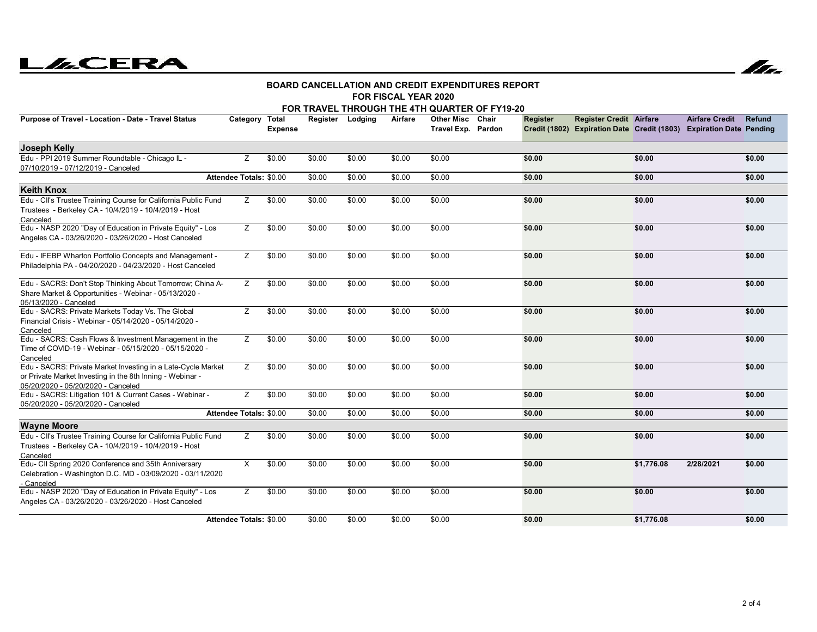# **LACERA**



#### **FOR FISCAL YEAR 2020BOARD CANCELLATION AND CREDIT EXPENDITURES REPORT**

| FOR TRAVEL THROUGH THE 4TH QUARTER OF FY19-20                                                                                                                   |                         |                |        |                  |         |                                         |       |                 |                                |            |                                                                                              |               |  |
|-----------------------------------------------------------------------------------------------------------------------------------------------------------------|-------------------------|----------------|--------|------------------|---------|-----------------------------------------|-------|-----------------|--------------------------------|------------|----------------------------------------------------------------------------------------------|---------------|--|
| Purpose of Travel - Location - Date - Travel Status                                                                                                             | Category Total          | <b>Expense</b> |        | Register Lodging | Airfare | <b>Other Misc</b><br>Travel Exp. Pardon | Chair | <b>Register</b> | <b>Register Credit Airfare</b> |            | <b>Airfare Credit</b><br>Credit (1802) Expiration Date Credit (1803) Expiration Date Pending | <b>Refund</b> |  |
| Joseph Kelly                                                                                                                                                    |                         |                |        |                  |         |                                         |       |                 |                                |            |                                                                                              |               |  |
| Edu - PPI 2019 Summer Roundtable - Chicago IL -<br>07/10/2019 - 07/12/2019 - Canceled                                                                           | Z                       | \$0.00         | \$0.00 | \$0.00           | \$0.00  | \$0.00                                  |       | \$0.00          |                                | \$0.00     |                                                                                              | \$0.00        |  |
|                                                                                                                                                                 | Attendee Totals: \$0.00 |                | \$0.00 | \$0.00           | \$0.00  | \$0.00                                  |       | \$0.00          |                                | \$0.00     |                                                                                              | \$0.00        |  |
| <b>Keith Knox</b>                                                                                                                                               |                         |                |        |                  |         |                                         |       |                 |                                |            |                                                                                              |               |  |
| Edu - Cll's Trustee Training Course for California Public Fund<br>Trustees - Berkeley CA - 10/4/2019 - 10/4/2019 - Host<br>Canceled                             | Ζ                       | \$0.00         | \$0.00 | \$0.00           | \$0.00  | \$0.00                                  |       | \$0.00          |                                | \$0.00     |                                                                                              | \$0.00        |  |
| Edu - NASP 2020 "Day of Education in Private Equity" - Los<br>Angeles CA - 03/26/2020 - 03/26/2020 - Host Canceled                                              | Z                       | \$0.00         | \$0.00 | \$0.00           | \$0.00  | \$0.00                                  |       | \$0.00          |                                | \$0.00     |                                                                                              | \$0.00        |  |
| Edu - IFEBP Wharton Portfolio Concepts and Management -<br>Philadelphia PA - 04/20/2020 - 04/23/2020 - Host Canceled                                            | Ζ                       | \$0.00         | \$0.00 | \$0.00           | \$0.00  | \$0.00                                  |       | \$0.00          |                                | \$0.00     |                                                                                              | \$0.00        |  |
| Edu - SACRS: Don't Stop Thinking About Tomorrow; China A-<br>Share Market & Opportunities - Webinar - 05/13/2020 -<br>05/13/2020 - Canceled                     | Z                       | \$0.00         | \$0.00 | \$0.00           | \$0.00  | \$0.00                                  |       | \$0.00          |                                | \$0.00     |                                                                                              | \$0.00        |  |
| Edu - SACRS: Private Markets Today Vs. The Global<br>Financial Crisis - Webinar - 05/14/2020 - 05/14/2020 -<br>Canceled                                         | Z                       | \$0.00         | \$0.00 | \$0.00           | \$0.00  | \$0.00                                  |       | \$0.00          |                                | \$0.00     |                                                                                              | \$0.00        |  |
| Edu - SACRS: Cash Flows & Investment Management in the<br>Time of COVID-19 - Webinar - 05/15/2020 - 05/15/2020 -<br>Canceled                                    | Z                       | \$0.00         | \$0.00 | \$0.00           | \$0.00  | \$0.00                                  |       | \$0.00          |                                | \$0.00     |                                                                                              | \$0.00        |  |
| Edu - SACRS: Private Market Investing in a Late-Cycle Market<br>or Private Market Investing in the 8th Inning - Webinar -<br>05/20/2020 - 05/20/2020 - Canceled | Z.                      | \$0.00         | \$0.00 | \$0.00           | \$0.00  | \$0.00                                  |       | \$0.00          |                                | \$0.00     |                                                                                              | \$0.00        |  |
| Edu - SACRS: Litigation 101 & Current Cases - Webinar -<br>05/20/2020 - 05/20/2020 - Canceled                                                                   | Z                       | \$0.00         | \$0.00 | \$0.00           | \$0.00  | \$0.00                                  |       | \$0.00          |                                | \$0.00     |                                                                                              | \$0.00        |  |
|                                                                                                                                                                 | Attendee Totals: \$0.00 |                | \$0.00 | \$0.00           | \$0.00  | \$0.00                                  |       | \$0.00          |                                | \$0.00     |                                                                                              | \$0.00        |  |
| <b>Wayne Moore</b>                                                                                                                                              |                         |                |        |                  |         |                                         |       |                 |                                |            |                                                                                              |               |  |
| Edu - Cll's Trustee Training Course for California Public Fund<br>Trustees - Berkeley CA - 10/4/2019 - 10/4/2019 - Host<br>Canceled                             | Z                       | \$0.00         | \$0.00 | \$0.00           | \$0.00  | \$0.00                                  |       | \$0.00          |                                | \$0.00     |                                                                                              | \$0.00        |  |
| Edu- CII Spring 2020 Conference and 35th Anniversary<br>Celebration - Washington D.C. MD - 03/09/2020 - 03/11/2020<br>- Canceled                                | X                       | \$0.00         | \$0.00 | \$0.00           | \$0.00  | \$0.00                                  |       | \$0.00          |                                | \$1,776.08 | 2/28/2021                                                                                    | \$0.00        |  |
| Edu - NASP 2020 "Day of Education in Private Equity" - Los<br>Angeles CA - 03/26/2020 - 03/26/2020 - Host Canceled                                              | Ζ                       | \$0.00         | \$0.00 | \$0.00           | \$0.00  | \$0.00                                  |       | \$0.00          |                                | \$0.00     |                                                                                              | \$0.00        |  |
|                                                                                                                                                                 | Attendee Totals: \$0.00 |                | \$0.00 | \$0.00           | \$0.00  | \$0.00                                  |       | \$0.00          |                                | \$1,776.08 |                                                                                              | \$0.00        |  |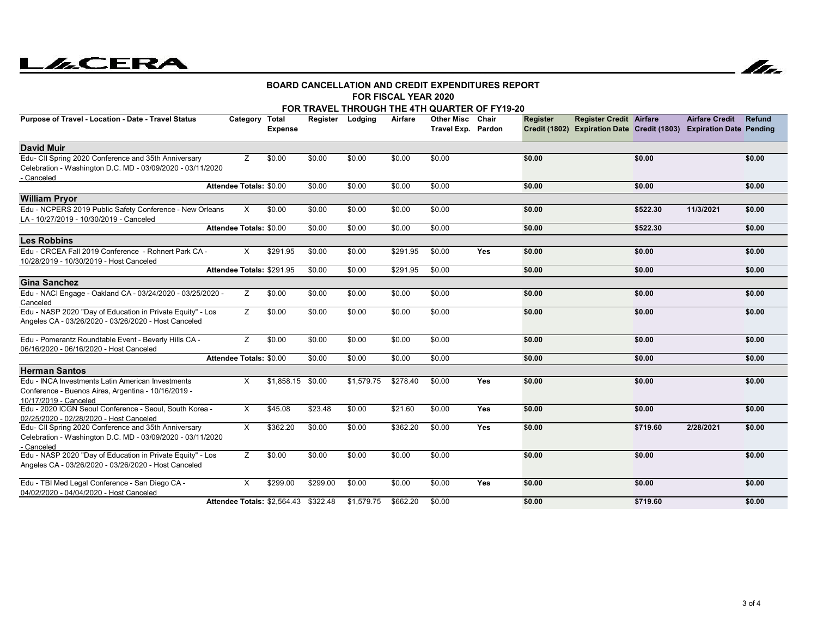# **LACERA**



#### **FOR FISCAL YEAR 2020BOARD CANCELLATION AND CREDIT EXPENDITURES REPORT**

| FOR TRAVEL THROUGH THE 4TH QUARTER OF FY19-20                                                                                     |                                |                                      |                  |            |          |                                               |     |          |                                                                                                       |          |                       |        |  |
|-----------------------------------------------------------------------------------------------------------------------------------|--------------------------------|--------------------------------------|------------------|------------|----------|-----------------------------------------------|-----|----------|-------------------------------------------------------------------------------------------------------|----------|-----------------------|--------|--|
| Purpose of Travel - Location - Date - Travel Status                                                                               | Category Total                 | <b>Expense</b>                       | Register Lodging |            | Airfare  | <b>Other Misc Chair</b><br>Travel Exp. Pardon |     | Register | <b>Register Credit Airfare</b><br>Credit (1802) Expiration Date Credit (1803) Expiration Date Pending |          | <b>Airfare Credit</b> | Refund |  |
| <b>David Muir</b>                                                                                                                 |                                |                                      |                  |            |          |                                               |     |          |                                                                                                       |          |                       |        |  |
| Edu- CII Spring 2020 Conference and 35th Anniversary<br>Celebration - Washington D.C. MD - 03/09/2020 - 03/11/2020<br>- Canceled  | Z                              | \$0.00                               | \$0.00           | \$0.00     | \$0.00   | \$0.00                                        |     | \$0.00   |                                                                                                       | \$0.00   |                       | \$0.00 |  |
|                                                                                                                                   | Attendee Totals: \$0.00        |                                      | \$0.00           | \$0.00     | \$0.00   | \$0.00                                        |     | \$0.00   |                                                                                                       | \$0.00   |                       | \$0.00 |  |
| <b>William Pryor</b>                                                                                                              |                                |                                      |                  |            |          |                                               |     |          |                                                                                                       |          |                       |        |  |
| Edu - NCPERS 2019 Public Safety Conference - New Orleans<br>LA - 10/27/2019 - 10/30/2019 - Canceled                               | X                              | \$0.00                               | \$0.00           | \$0.00     | \$0.00   | \$0.00                                        |     | \$0.00   |                                                                                                       | \$522.30 | 11/3/2021             | \$0.00 |  |
|                                                                                                                                   | <b>Attendee Totals: \$0.00</b> |                                      | \$0.00           | \$0.00     | \$0.00   | \$0.00                                        |     | \$0.00   |                                                                                                       | \$522.30 |                       | \$0.00 |  |
| <b>Les Robbins</b>                                                                                                                |                                |                                      |                  |            |          |                                               |     |          |                                                                                                       |          |                       |        |  |
| Edu - CRCEA Fall 2019 Conference - Rohnert Park CA -<br>10/28/2019 - 10/30/2019 - Host Canceled                                   | X                              | \$291.95                             | \$0.00           | \$0.00     | \$291.95 | \$0.00                                        | Yes | \$0.00   |                                                                                                       | \$0.00   |                       | \$0.00 |  |
|                                                                                                                                   | Attendee Totals: \$291.95      |                                      | \$0.00           | \$0.00     | \$291.95 | \$0.00                                        |     | \$0.00   |                                                                                                       | \$0.00   |                       | \$0.00 |  |
| <b>Gina Sanchez</b>                                                                                                               |                                |                                      |                  |            |          |                                               |     |          |                                                                                                       |          |                       |        |  |
| Edu - NACI Engage - Oakland CA - 03/24/2020 - 03/25/2020 -<br>Canceled                                                            | Z                              | \$0.00                               | \$0.00           | \$0.00     | \$0.00   | \$0.00                                        |     | \$0.00   |                                                                                                       | \$0.00   |                       | \$0.00 |  |
| Edu - NASP 2020 "Day of Education in Private Equity" - Los<br>Angeles CA - 03/26/2020 - 03/26/2020 - Host Canceled                | Z                              | \$0.00                               | \$0.00           | \$0.00     | \$0.00   | \$0.00                                        |     | \$0.00   |                                                                                                       | \$0.00   |                       | \$0.00 |  |
| Edu - Pomerantz Roundtable Event - Beverly Hills CA -<br>06/16/2020 - 06/16/2020 - Host Canceled                                  | z                              | \$0.00                               | \$0.00           | \$0.00     | \$0.00   | \$0.00                                        |     | \$0.00   |                                                                                                       | \$0.00   |                       | \$0.00 |  |
|                                                                                                                                   | Attendee Totals: \$0.00        |                                      | \$0.00           | \$0.00     | \$0.00   | \$0.00                                        |     | \$0.00   |                                                                                                       | \$0.00   |                       | \$0.00 |  |
| <b>Herman Santos</b>                                                                                                              |                                |                                      |                  |            |          |                                               |     |          |                                                                                                       |          |                       |        |  |
| Edu - INCA Investments Latin American Investments<br>Conference - Buenos Aires, Argentina - 10/16/2019 -<br>10/17/2019 - Canceled | X                              | \$1,858.15 \$0.00                    |                  | \$1,579.75 | \$278.40 | \$0.00                                        | Yes | \$0.00   |                                                                                                       | \$0.00   |                       | \$0.00 |  |
| Edu - 2020 ICGN Seoul Conference - Seoul, South Korea -<br>02/25/2020 - 02/28/2020 - Host Canceled                                | X                              | \$45.08                              | \$23.48          | \$0.00     | \$21.60  | \$0.00                                        | Yes | \$0.00   |                                                                                                       | \$0.00   |                       | \$0.00 |  |
| Edu- CII Spring 2020 Conference and 35th Anniversary<br>Celebration - Washington D.C. MD - 03/09/2020 - 03/11/2020<br>- Canceled  | X                              | \$362.20                             | \$0.00           | \$0.00     | \$362.20 | \$0.00                                        | Yes | \$0.00   |                                                                                                       | \$719.60 | 2/28/2021             | \$0.00 |  |
| Edu - NASP 2020 "Day of Education in Private Equity" - Los<br>Angeles CA - 03/26/2020 - 03/26/2020 - Host Canceled                | z                              | \$0.00                               | \$0.00           | \$0.00     | \$0.00   | \$0.00                                        |     | \$0.00   |                                                                                                       | \$0.00   |                       | \$0.00 |  |
| Edu - TBI Med Legal Conference - San Diego CA -<br>04/02/2020 - 04/04/2020 - Host Canceled                                        | X                              | \$299.00                             | \$299.00         | \$0.00     | \$0.00   | \$0.00                                        | Yes | \$0.00   |                                                                                                       | \$0.00   |                       | \$0.00 |  |
|                                                                                                                                   |                                | Attendee Totals: \$2,564.43 \$322.48 |                  | \$1,579.75 | \$662.20 | \$0.00                                        |     | \$0.00   |                                                                                                       | \$719.60 |                       | \$0.00 |  |